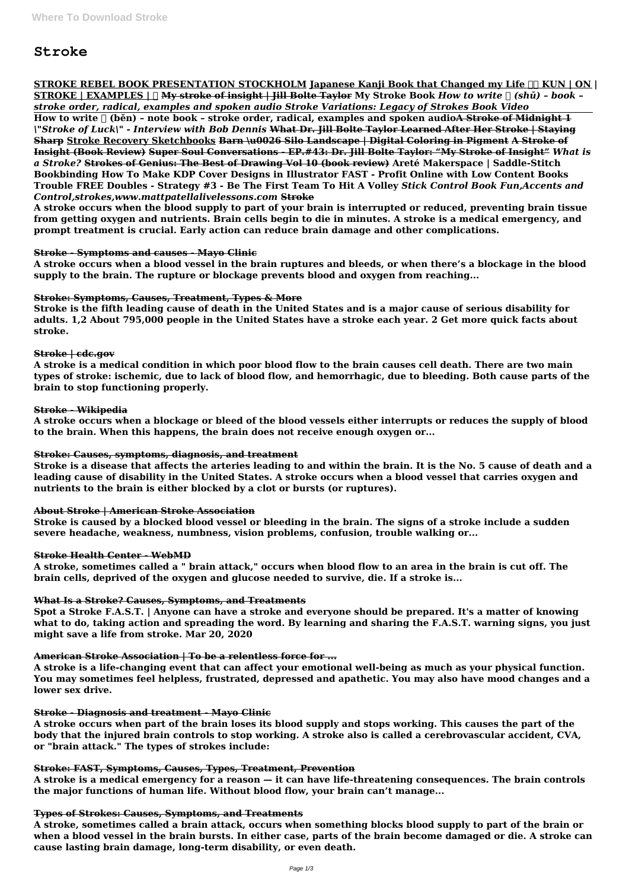# **Stroke**

### **STROKE REBEL BOOK PRESENTATION STOCKHOLM Japanese Kanji Book that Changed my Life**  $\ln$  **KUN | ON | STROKE** | **EXAMPLES** | **I**] **My stroke of insight | Jill Bolte Taylor** My Stroke Book *How to write*  $\lceil \int$  (shū) - book *stroke order, radical, examples and spoken audio Stroke Variations: Legacy of Strokes Book Video*

How to write  $\Box$  (běn) - note book - stroke order, radical, examples and spoken audioA Stroke of Midnight 1 *\"Stroke of Luck\" - Interview with Bob Dennis* **What Dr. Jill Bolte Taylor Learned After Her Stroke | Staying Sharp Stroke Recovery Sketchbooks Barn \u0026 Silo Landscape | Digital Coloring in Pigment A Stroke of Insight (Book Review) Super Soul Conversations - EP.#43: Dr. Jill Bolte Taylor: "My Stroke of Insight"** *What is a Stroke?* **Strokes of Genius: The Best of Drawing Vol 10 (book review) Areté Makerspace | Saddle-Stitch Bookbinding How To Make KDP Cover Designs in Illustrator FAST - Profit Online with Low Content Books Trouble FREE Doubles - Strategy #3 - Be The First Team To Hit A Volley** *Stick Control Book Fun,Accents and Control,strokes,www.mattpatellalivelessons.com* **Stroke**

**A stroke occurs when the blood supply to part of your brain is interrupted or reduced, preventing brain tissue from getting oxygen and nutrients. Brain cells begin to die in minutes. A stroke is a medical emergency, and prompt treatment is crucial. Early action can reduce brain damage and other complications.**

#### **Stroke - Symptoms and causes - Mayo Clinic**

**A stroke occurs when a blood vessel in the brain ruptures and bleeds, or when there's a blockage in the blood supply to the brain. The rupture or blockage prevents blood and oxygen from reaching...**

# **Stroke: Symptoms, Causes, Treatment, Types & More**

**Stroke is the fifth leading cause of death in the United States and is a major cause of serious disability for adults. 1,2 About 795,000 people in the United States have a stroke each year. 2 Get more quick facts about stroke.**

# **Stroke | cdc.gov**

**A stroke is a medical condition in which poor blood flow to the brain causes cell death. There are two main types of stroke: ischemic, due to lack of blood flow, and hemorrhagic, due to bleeding. Both cause parts of the brain to stop functioning properly.**

# **Stroke - Wikipedia**

**A stroke occurs when a blockage or bleed of the blood vessels either interrupts or reduces the supply of blood to the brain. When this happens, the brain does not receive enough oxygen or...**

# **Stroke: Causes, symptoms, diagnosis, and treatment**

**Stroke is a disease that affects the arteries leading to and within the brain. It is the No. 5 cause of death and a leading cause of disability in the United States. A stroke occurs when a blood vessel that carries oxygen and nutrients to the brain is either blocked by a clot or bursts (or ruptures).**

# **About Stroke | American Stroke Association**

**Stroke is caused by a blocked blood vessel or bleeding in the brain. The signs of a stroke include a sudden severe headache, weakness, numbness, vision problems, confusion, trouble walking or...**

# **Stroke Health Center - WebMD**

**A stroke, sometimes called a " brain attack," occurs when blood flow to an area in the brain is cut off. The brain cells, deprived of the oxygen and glucose needed to survive, die. If a stroke is...**

# **What Is a Stroke? Causes, Symptoms, and Treatments**

**Spot a Stroke F.A.S.T. | Anyone can have a stroke and everyone should be prepared. It's a matter of knowing what to do, taking action and spreading the word. By learning and sharing the F.A.S.T. warning signs, you just might save a life from stroke. Mar 20, 2020**

# **American Stroke Association | To be a relentless force for ...**

**A stroke is a life-changing event that can affect your emotional well-being as much as your physical function.**

**You may sometimes feel helpless, frustrated, depressed and apathetic. You may also have mood changes and a lower sex drive.**

#### **Stroke - Diagnosis and treatment - Mayo Clinic**

**A stroke occurs when part of the brain loses its blood supply and stops working. This causes the part of the body that the injured brain controls to stop working. A stroke also is called a cerebrovascular accident, CVA, or "brain attack." The types of strokes include:**

#### **Stroke: FAST, Symptoms, Causes, Types, Treatment, Prevention**

**A stroke is a medical emergency for a reason — it can have life-threatening consequences. The brain controls the major functions of human life. Without blood flow, your brain can't manage...**

#### **Types of Strokes: Causes, Symptoms, and Treatments**

**A stroke, sometimes called a brain attack, occurs when something blocks blood supply to part of the brain or when a blood vessel in the brain bursts. In either case, parts of the brain become damaged or die. A stroke can cause lasting brain damage, long-term disability, or even death.**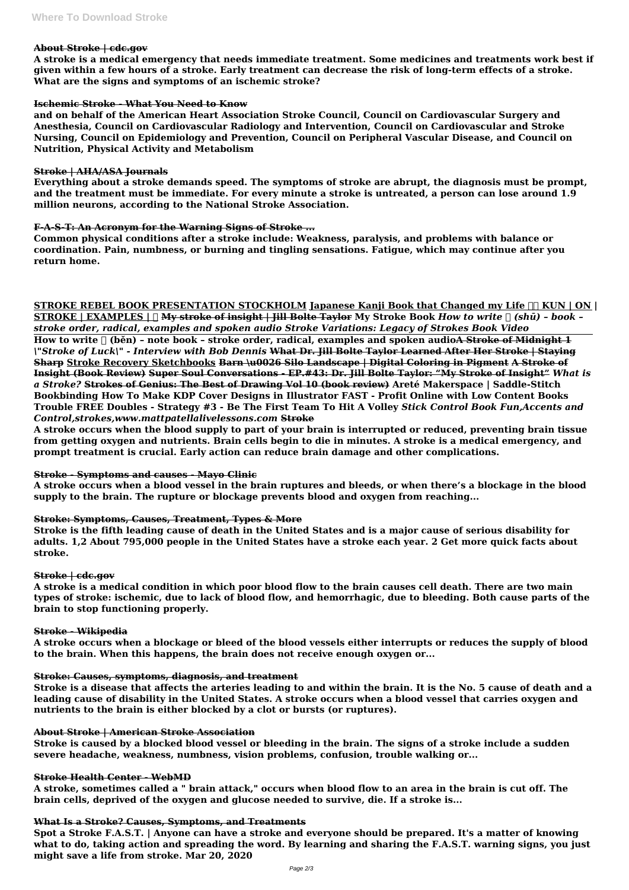#### **About Stroke | cdc.gov**

**A stroke is a medical emergency that needs immediate treatment. Some medicines and treatments work best if given within a few hours of a stroke. Early treatment can decrease the risk of long-term effects of a stroke. What are the signs and symptoms of an ischemic stroke?**

#### **Ischemic Stroke - What You Need to Know**

**and on behalf of the American Heart Association Stroke Council, Council on Cardiovascular Surgery and Anesthesia, Council on Cardiovascular Radiology and Intervention, Council on Cardiovascular and Stroke Nursing, Council on Epidemiology and Prevention, Council on Peripheral Vascular Disease, and Council on Nutrition, Physical Activity and Metabolism**

#### **Stroke | AHA/ASA Journals**

**Everything about a stroke demands speed. The symptoms of stroke are abrupt, the diagnosis must be prompt, and the treatment must be immediate. For every minute a stroke is untreated, a person can lose around 1.9 million neurons, according to the National Stroke Association.**

# **F-A-S-T: An Acronym for the Warning Signs of Stroke ...**

**Common physical conditions after a stroke include: Weakness, paralysis, and problems with balance or coordination. Pain, numbness, or burning and tingling sensations. Fatigue, which may continue after you return home.**

# **STROKE REBEL BOOK PRESENTATION STOCKHOLM Japanese Kanji Book that Changed my Life**  $\Box \Box$  **KUN | ON |**

**STROKE** | **EXAMPLES** | **∏ My stroke of insight | Jill Bolte Taylor** My Stroke Book *How to write* ∏ *(shū) - book stroke order, radical, examples and spoken audio Stroke Variations: Legacy of Strokes Book Video* How to write  $\lceil$  (běn) - note book - stroke order, radical, examples and spoken audio<del>A Stroke of Midnight 1</del> *\"Stroke of Luck\" - Interview with Bob Dennis* **What Dr. Jill Bolte Taylor Learned After Her Stroke | Staying Sharp Stroke Recovery Sketchbooks Barn \u0026 Silo Landscape | Digital Coloring in Pigment A Stroke of Insight (Book Review) Super Soul Conversations - EP.#43: Dr. Jill Bolte Taylor: "My Stroke of Insight"** *What is a Stroke?* **Strokes of Genius: The Best of Drawing Vol 10 (book review) Areté Makerspace | Saddle-Stitch Bookbinding How To Make KDP Cover Designs in Illustrator FAST - Profit Online with Low Content Books Trouble FREE Doubles - Strategy #3 - Be The First Team To Hit A Volley** *Stick Control Book Fun,Accents and Control,strokes,www.mattpatellalivelessons.com* **Stroke**

**A stroke occurs when the blood supply to part of your brain is interrupted or reduced, preventing brain tissue from getting oxygen and nutrients. Brain cells begin to die in minutes. A stroke is a medical emergency, and prompt treatment is crucial. Early action can reduce brain damage and other complications.**

# **Stroke - Symptoms and causes - Mayo Clinic**

**A stroke occurs when a blood vessel in the brain ruptures and bleeds, or when there's a blockage in the blood supply to the brain. The rupture or blockage prevents blood and oxygen from reaching...**

# **Stroke: Symptoms, Causes, Treatment, Types & More**

**Stroke is the fifth leading cause of death in the United States and is a major cause of serious disability for adults. 1,2 About 795,000 people in the United States have a stroke each year. 2 Get more quick facts about stroke.**

# **Stroke | cdc.gov**

**A stroke is a medical condition in which poor blood flow to the brain causes cell death. There are two main types of stroke: ischemic, due to lack of blood flow, and hemorrhagic, due to bleeding. Both cause parts of the brain to stop functioning properly.**

#### **Stroke - Wikipedia**

**A stroke occurs when a blockage or bleed of the blood vessels either interrupts or reduces the supply of blood to the brain. When this happens, the brain does not receive enough oxygen or...**

#### **Stroke: Causes, symptoms, diagnosis, and treatment**

**Stroke is a disease that affects the arteries leading to and within the brain. It is the No. 5 cause of death and a leading cause of disability in the United States. A stroke occurs when a blood vessel that carries oxygen and nutrients to the brain is either blocked by a clot or bursts (or ruptures).**

#### **About Stroke | American Stroke Association**

**Stroke is caused by a blocked blood vessel or bleeding in the brain. The signs of a stroke include a sudden severe headache, weakness, numbness, vision problems, confusion, trouble walking or...**

#### **Stroke Health Center - WebMD**

**A stroke, sometimes called a " brain attack," occurs when blood flow to an area in the brain is cut off. The brain cells, deprived of the oxygen and glucose needed to survive, die. If a stroke is...**

#### **What Is a Stroke? Causes, Symptoms, and Treatments**

**Spot a Stroke F.A.S.T. | Anyone can have a stroke and everyone should be prepared. It's a matter of knowing what to do, taking action and spreading the word. By learning and sharing the F.A.S.T. warning signs, you just might save a life from stroke. Mar 20, 2020**